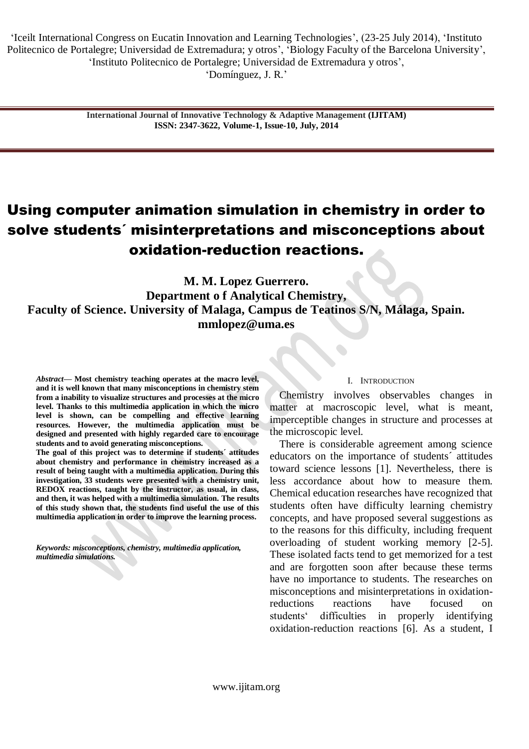**International Journal of Innovative Technology & Adaptive Management (IJITAM) ISSN: 2347-3622, Volume-1, Issue-10, July, 2014**

# Using computer animation simulation in chemistry in order to solve students´ misinterpretations and misconceptions about oxidation-reduction reactions.

**M. M. Lopez Guerrero. Department o f Analytical Chemistry, Faculty of Science. University of Malaga, Campus de Teatinos S/N, Málaga, Spain. mmlopez@uma.es**

*Abstract***— Most chemistry teaching operates at the macro level, and it is well known that many misconceptions in chemistry stem from a inability to visualize structures and processes at the micro level. Thanks to this multimedia application in which the micro level is shown, can be compelling and effective learning resources. However, the multimedia application must be designed and presented with highly regarded care to encourage students and to avoid generating misconceptions.** 

**The goal of this project was to determine if students´ attitudes about chemistry and performance in chemistry increased as a result of being taught with a multimedia application. During this investigation, 33 students were presented with a chemistry unit, REDOX reactions, taught by the instructor, as usual, in class, and then, it was helped with a multimedia simulation. The results of this study shown that, the students find useful the use of this multimedia application in order to improve the learning process.** 

*Keywords: misconceptions, chemistry, multimedia application, multimedia simulations.* 

#### I. INTRODUCTION

Chemistry involves observables changes in matter at macroscopic level, what is meant, imperceptible changes in structure and processes at the microscopic level.

There is considerable agreement among science educators on the importance of students´ attitudes toward science lessons [1]. Nevertheless, there is less accordance about how to measure them. Chemical education researches have recognized that students often have difficulty learning chemistry concepts, and have proposed several suggestions as to the reasons for this difficulty, including frequent overloading of student working memory [2-5]. These isolated facts tend to get memorized for a test and are forgotten soon after because these terms have no importance to students. The researches on misconceptions and misinterpretations in oxidationreductions reactions have focused on students" difficulties in properly identifying oxidation-reduction reactions [6]. As a student, I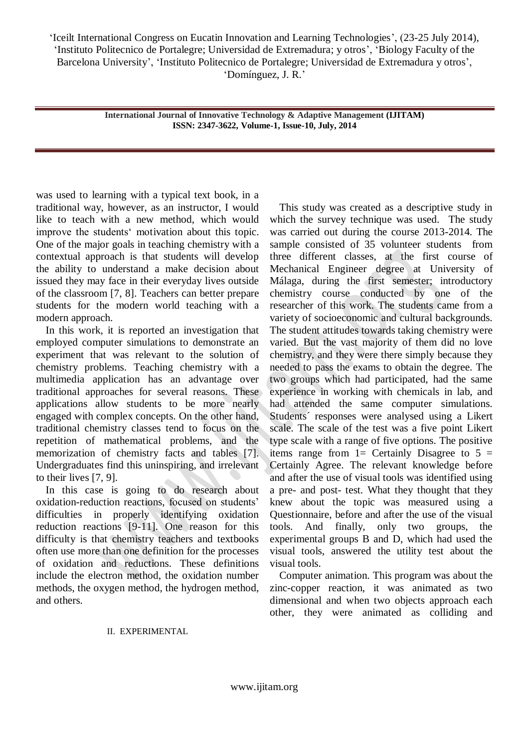> **International Journal of Innovative Technology & Adaptive Management (IJITAM) ISSN: 2347-3622, Volume-1, Issue-10, July, 2014**

was used to learning with a typical text book, in a traditional way, however, as an instructor, I would like to teach with a new method, which would improve the students' motivation about this topic. One of the major goals in teaching chemistry with a contextual approach is that students will develop the ability to understand a make decision about issued they may face in their everyday lives outside of the classroom [7, 8]. Teachers can better prepare students for the modern world teaching with a modern approach.

In this work, it is reported an investigation that employed computer simulations to demonstrate an experiment that was relevant to the solution of chemistry problems. Teaching chemistry with a multimedia application has an advantage over traditional approaches for several reasons. These applications allow students to be more nearly engaged with complex concepts. On the other hand, traditional chemistry classes tend to focus on the repetition of mathematical problems, and the memorization of chemistry facts and tables [7]. Undergraduates find this uninspiring, and irrelevant to their lives [7, 9].

In this case is going to do research about oxidation-reduction reactions, focused on students" difficulties in properly identifying oxidation reduction reactions [9-11]. One reason for this difficulty is that chemistry teachers and textbooks often use more than one definition for the processes of oxidation and reductions. These definitions include the electron method, the oxidation number methods, the oxygen method, the hydrogen method, and others.

This study was created as a descriptive study in which the survey technique was used. The study was carried out during the course 2013-2014. The sample consisted of 35 volunteer students from three different classes, at the first course of Mechanical Engineer degree at University of Málaga, during the first semester; introductory chemistry course conducted by one of the researcher of this work. The students came from a variety of socioeconomic and cultural backgrounds. The student attitudes towards taking chemistry were varied. But the vast majority of them did no love chemistry, and they were there simply because they needed to pass the exams to obtain the degree. The two groups which had participated, had the same experience in working with chemicals in lab, and had attended the same computer simulations. Students´ responses were analysed using a Likert scale. The scale of the test was a five point Likert type scale with a range of five options. The positive items range from  $1=$  Certainly Disagree to  $5=$ Certainly Agree. The relevant knowledge before and after the use of visual tools was identified using a pre- and post- test. What they thought that they knew about the topic was measured using a Questionnaire, before and after the use of the visual tools. And finally, only two groups, the experimental groups B and D, which had used the visual tools, answered the utility test about the visual tools.

Computer animation. This program was about the zinc-copper reaction, it was animated as two dimensional and when two objects approach each other, they were animated as colliding and

# II. EXPERIMENTAL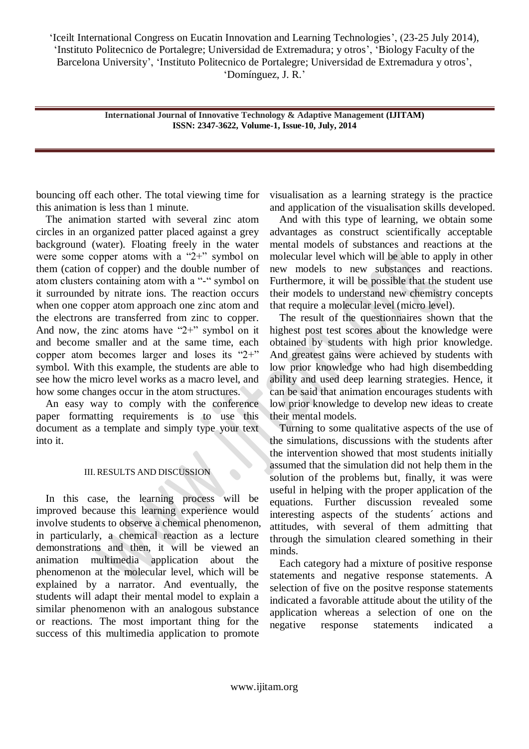> **International Journal of Innovative Technology & Adaptive Management (IJITAM) ISSN: 2347-3622, Volume-1, Issue-10, July, 2014**

bouncing off each other. The total viewing time for this animation is less than 1 minute.

The animation started with several zinc atom circles in an organized patter placed against a grey background (water). Floating freely in the water were some copper atoms with a "2+" symbol on them (cation of copper) and the double number of atom clusters containing atom with a "-" symbol on it surrounded by nitrate ions. The reaction occurs when one copper atom approach one zinc atom and the electrons are transferred from zinc to copper. And now, the zinc atoms have "2+" symbol on it and become smaller and at the same time, each copper atom becomes larger and loses its "2+" symbol. With this example, the students are able to see how the micro level works as a macro level, and how some changes occur in the atom structures.

An easy way to comply with the conference paper formatting requirements is to use this document as a template and simply type your text into it.

# III. RESULTS AND DISCUSSION

In this case, the learning process will be improved because this learning experience would involve students to observe a chemical phenomenon, in particularly, a chemical reaction as a lecture demonstrations and then, it will be viewed an animation multimedia application about the phenomenon at the molecular level, which will be explained by a narrator. And eventually, the students will adapt their mental model to explain a similar phenomenon with an analogous substance or reactions. The most important thing for the success of this multimedia application to promote

visualisation as a learning strategy is the practice and application of the visualisation skills developed.

And with this type of learning, we obtain some advantages as construct scientifically acceptable mental models of substances and reactions at the molecular level which will be able to apply in other new models to new substances and reactions. Furthermore, it will be possible that the student use their models to understand new chemistry concepts that require a molecular level (micro level).

The result of the questionnaires shown that the highest post test scores about the knowledge were obtained by students with high prior knowledge. And greatest gains were achieved by students with low prior knowledge who had high disembedding ability and used deep learning strategies. Hence, it can be said that animation encourages students with low prior knowledge to develop new ideas to create their mental models.

Turning to some qualitative aspects of the use of the simulations, discussions with the students after the intervention showed that most students initially assumed that the simulation did not help them in the solution of the problems but, finally, it was were useful in helping with the proper application of the equations. Further discussion revealed some interesting aspects of the students´ actions and attitudes, with several of them admitting that through the simulation cleared something in their minds.

Each category had a mixture of positive response statements and negative response statements. A selection of five on the positve response statements indicated a favorable attitude about the utility of the application whereas a selection of one on the negative response statements indicated a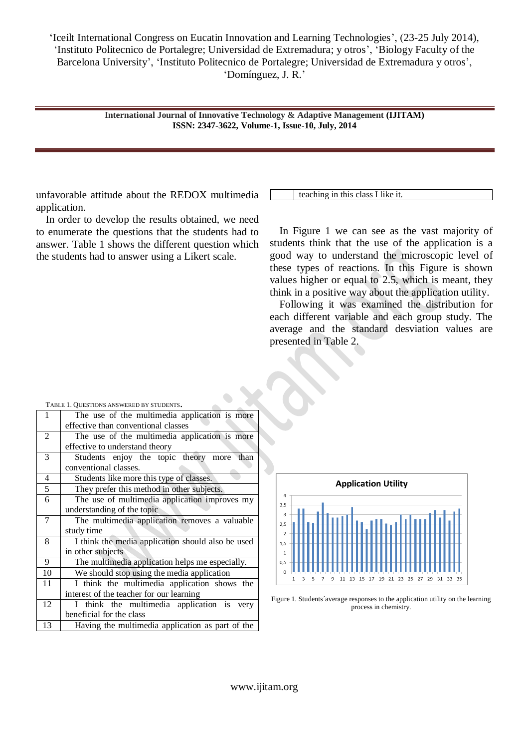> **International Journal of Innovative Technology & Adaptive Management (IJITAM) ISSN: 2347-3622, Volume-1, Issue-10, July, 2014**

unfavorable attitude about the REDOX multimedia application.

In order to develop the results obtained, we need to enumerate the questions that the students had to answer. Table 1 shows the different question which the students had to answer using a Likert scale.

teaching in this class I like it.

In Figure 1 we can see as the vast majority of students think that the use of the application is a good way to understand the microscopic level of these types of reactions. In this Figure is shown values higher or equal to 2.5, which is meant, they think in a positive way about the application utility.

Following it was examined the distribution for each different variable and each group study. The average and the standard desviation values are presented in Table 2.

| <b>IADLE 1. QUESTIONS ANSWERED B1 STUDENTS.</b> |                                                                                      |  |  |  |  |  |
|-------------------------------------------------|--------------------------------------------------------------------------------------|--|--|--|--|--|
| 1                                               | The use of the multimedia application is more<br>effective than conventional classes |  |  |  |  |  |
| 2                                               | The use of the multimedia application is more                                        |  |  |  |  |  |
|                                                 |                                                                                      |  |  |  |  |  |
|                                                 | effective to understand theory                                                       |  |  |  |  |  |
| 3                                               | Students enjoy the topic theory more<br>than                                         |  |  |  |  |  |
|                                                 | conventional classes.                                                                |  |  |  |  |  |
| 4                                               | Students like more this type of classes.                                             |  |  |  |  |  |
| $\overline{5}$                                  | They prefer this method in other subjects.                                           |  |  |  |  |  |
| 6                                               | The use of multimedia application improves my                                        |  |  |  |  |  |
|                                                 | understanding of the topic                                                           |  |  |  |  |  |
| 7                                               | The multimedia application removes a valuable                                        |  |  |  |  |  |
|                                                 | study time                                                                           |  |  |  |  |  |
| 8                                               | I think the media application should also be used                                    |  |  |  |  |  |
|                                                 | in other subjects                                                                    |  |  |  |  |  |
| 9                                               | The multimedia application helps me especially.                                      |  |  |  |  |  |
| 10                                              | We should stop using the media application                                           |  |  |  |  |  |
| 11                                              | I think the multimedia application shows the                                         |  |  |  |  |  |
|                                                 | interest of the teacher for our learning                                             |  |  |  |  |  |
| 12                                              | I think the multimedia application is very                                           |  |  |  |  |  |
|                                                 | beneficial for the class                                                             |  |  |  |  |  |
| 13                                              | Having the multimedia application as part of the                                     |  |  |  |  |  |
|                                                 |                                                                                      |  |  |  |  |  |

**Application Utility**  $\overline{A}$  $3.5$  $2,5$ ÷.  $1.5$  $\overline{1}$  $0.5$ 11 13 15 17 19 21 23 25 27 29 31 33 35  $\overline{9}$ 

Figure 1. Students´average responses to the application utility on the learning process in chemistry.

## <sup>T</sup>ABLE 1. <sup>Q</sup>UESTIONS ANSWERED BY STUDENTS.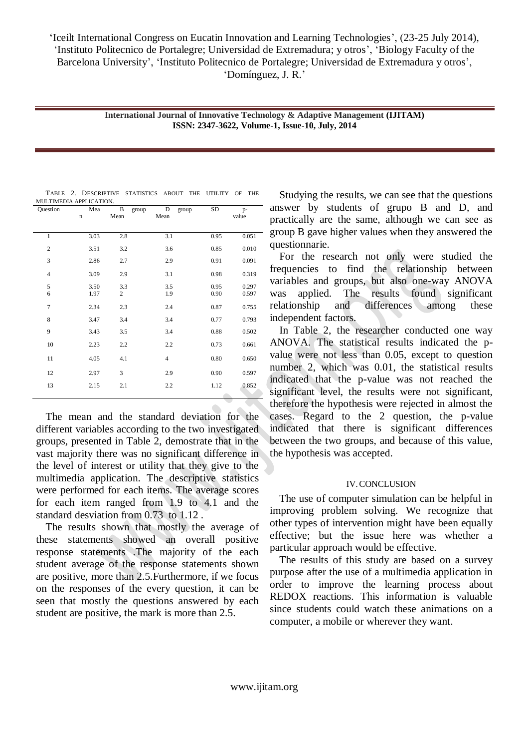> **International Journal of Innovative Technology & Adaptive Management (IJITAM) ISSN: 2347-3622, Volume-1, Issue-10, July, 2014**

| Question       | Mea<br>$\mathbf n$ | B<br>group<br>Mean    | D<br>group<br>Mean | SD           | p-<br>value    |
|----------------|--------------------|-----------------------|--------------------|--------------|----------------|
| 1              | 3.03               | 2.8                   | 3.1                | 0.95         | 0.051          |
| $\overline{c}$ | 3.51               | 3.2                   | 3.6                | 0.85         | 0.010          |
| 3              | 2.86               | 2.7                   | 2.9                | 0.91         | 0.091          |
| $\overline{4}$ | 3.09               | 2.9                   | 3.1                | 0.98         | 0.319          |
| 5<br>6         | 3.50<br>1.97       | 3.3<br>$\mathfrak{2}$ | 3.5<br>1.9         | 0.95<br>0.90 | 0.297<br>0.597 |
| $\overline{7}$ | 2.34               | 2.3                   | 2.4                | 0.87         | 0.755          |
| 8              | 3.47               | 3.4                   | 3.4                | 0.77         | 0.793          |
| 9              | 3.43               | 3.5                   | 3.4                | 0.88         | 0.502          |
| 10             | 2.23               | 2.2                   | 2.2                | 0.73         | 0.661          |
| 11             | 4.05               | 4.1                   | $\overline{4}$     | 0.80         | 0.650          |
| 12             | 2.97               | 3                     | 2.9                | 0.90         | 0.597          |
| 13             | 2.15               | 2.1                   | 2.2                | 1.12         | 0.852          |
|                |                    |                       |                    |              |                |

TABLE 2. DESCRIPTIVE STATISTICS ABOUT THE UTILITY OF THE MULTIMEDIA APPLICATION.

The mean and the standard deviation for the different variables according to the two investigated groups, presented in Table 2, demostrate that in the vast majority there was no significant difference in the level of interest or utility that they give to the multimedia application. The descriptive statistics were performed for each items. The average scores for each item ranged from 1.9 to 4.1 and the standard desviation from 0.73 to 1.12 .

The results shown that mostly the average of these statements showed an overall positive response statements .The majority of the each student average of the response statements shown are positive, more than 2.5.Furthermore, if we focus on the responses of the every question, it can be seen that mostly the questions answered by each student are positive, the mark is more than 2.5.

Studying the results, we can see that the questions answer by students of grupo B and D, and practically are the same, although we can see as group B gave higher values when they answered the questionnarie.

For the research not only were studied the frequencies to find the relationship between variables and groups, but also one-way ANOVA was applied. The results found significant relationship and differences among these independent factors.

In Table 2, the researcher conducted one way ANOVA. The statistical results indicated the pvalue were not less than 0.05, except to question number 2, which was 0.01, the statistical results indicated that the p-value was not reached the significant level, the results were not significant, therefore the hypothesis were rejected in almost the cases. Regard to the 2 question, the p-value indicated that there is significant differences between the two groups, and because of this value, the hypothesis was accepted.

# IV.CONCLUSION

The use of computer simulation can be helpful in improving problem solving. We recognize that other types of intervention might have been equally effective; but the issue here was whether a particular approach would be effective.

The results of this study are based on a survey purpose after the use of a multimedia application in order to improve the learning process about REDOX reactions. This information is valuable since students could watch these animations on a computer, a mobile or wherever they want.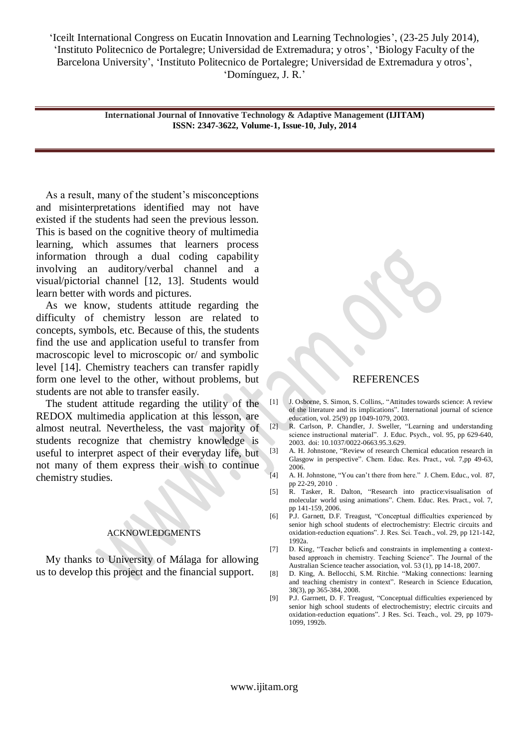> **International Journal of Innovative Technology & Adaptive Management (IJITAM) ISSN: 2347-3622, Volume-1, Issue-10, July, 2014**

As a result, many of the student's misconceptions and misinterpretations identified may not have existed if the students had seen the previous lesson. This is based on the cognitive theory of multimedia learning, which assumes that learners process information through a dual coding capability involving an auditory/verbal channel and a visual/pictorial channel [12, 13]. Students would learn better with words and pictures.

As we know, students attitude regarding the difficulty of chemistry lesson are related to concepts, symbols, etc. Because of this, the students find the use and application useful to transfer from macroscopic level to microscopic or/ and symbolic level [14]. Chemistry teachers can transfer rapidly form one level to the other, without problems, but students are not able to transfer easily.

The student attitude regarding the utility of the REDOX multimedia application at this lesson, are almost neutral. Nevertheless, the vast majority of students recognize that chemistry knowledge is useful to interpret aspect of their everyday life, but not many of them express their wish to continue chemistry studies.

### ACKNOWLEDGMENTS

My thanks to University of Málaga for allowing us to develop this project and the financial support.

#### REFERENCES

- [1] J. Osborne, S. Simon, S. Collins,. "Attitudes towards science: A review of the literature and its implications". International journal of science education, vol. 25(9) pp 1049-1079, 2003.
- [2] R. Carlson, P. Chandler, J. Sweller, "Learning and understanding science instructional material". J. Educ. Psych., vol. 95, pp 629-640, 2003. doi: [10.1037/0022-0663.95.3.629.](http://psycnet.apa.org/doi/10.1037/0022-0663.95.3.629)
- [3] A. H. Johnstone, "Review of research Chemical education research in Glasgow in perspective". Chem. Educ. Res. Pract., vol. 7,pp 49-63, 2006.
- [4] A. H. Johnstone, "You can't there from here." J. Chem. Educ., vol. 87, pp 22-29, 2010 .
- [5] R. Tasker, R. Dalton, "Research into practice:visualisation of molecular world using animations". Chem. Educ. Res. Pract., vol. 7, pp 141-159, 2006.
- [6] P.J. Garnett, D.F. Treagust, "Conceptual difficulties experienced by senior high school students of electrochemistry: Electric circuits and oxidation-reduction equations". J. Res. Sci. Teach., vol. 29, pp 121-142, 1992a.
- [7] D. King, "Teacher beliefs and constraints in implementing a contextbased approach in chemistry. Teaching Science". The Journal of the Australian Science teacher association, vol. 53 (1), pp 14-18, 2007.
- [8] D. King, A. Bellocchi, S.M. Ritchie. "Making connections: learning and teaching chemistry in context". Research in Science Education, 38(3), pp 365-384, 2008.
- [9] P.J. Garrnett, D. F. Treagust, "Conceptual difficulties experienced by senior high school students of electrochemistry; electric circuits and oxidation-reduction equations". J Res. Sci. Teach., vol. 29, pp 1079- 1099, 1992b.